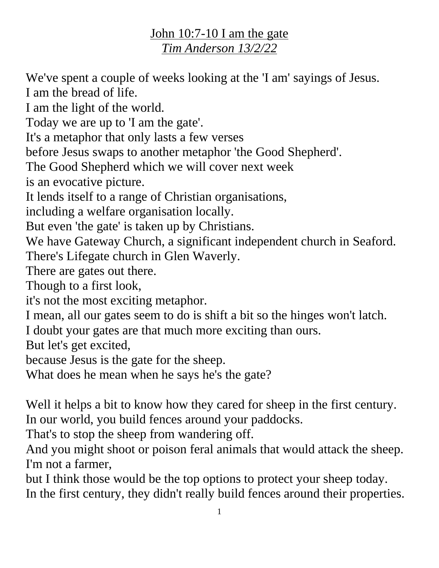## John 10:7-10 I am the gate *Tim Anderson 13/2/22*

We've spent a couple of weeks looking at the 'I am' sayings of Jesus. I am the bread of life.

I am the light of the world.

Today we are up to 'I am the gate'.

It's a metaphor that only lasts a few verses

before Jesus swaps to another metaphor 'the Good Shepherd'.

The Good Shepherd which we will cover next week

is an evocative picture.

It lends itself to a range of Christian organisations,

including a welfare organisation locally.

But even 'the gate' is taken up by Christians.

We have Gateway Church, a significant independent church in Seaford.

There's Lifegate church in Glen Waverly.

There are gates out there.

Though to a first look,

it's not the most exciting metaphor.

I mean, all our gates seem to do is shift a bit so the hinges won't latch.

I doubt your gates are that much more exciting than ours.

But let's get excited,

because Jesus is the gate for the sheep.

What does he mean when he says he's the gate?

Well it helps a bit to know how they cared for sheep in the first century. In our world, you build fences around your paddocks.

That's to stop the sheep from wandering off.

And you might shoot or poison feral animals that would attack the sheep. I'm not a farmer,

but I think those would be the top options to protect your sheep today. In the first century, they didn't really build fences around their properties.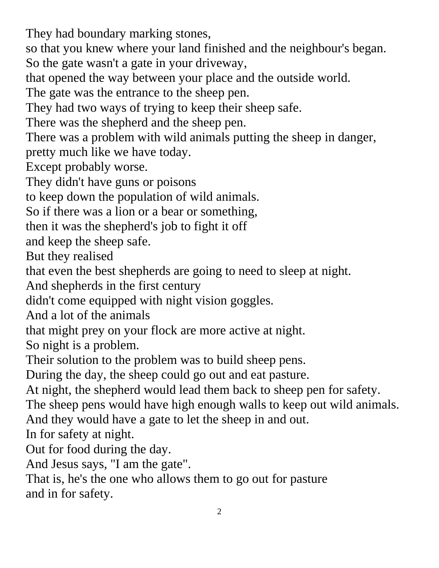They had boundary marking stones,

so that you knew where your land finished and the neighbour's began. So the gate wasn't a gate in your driveway,

that opened the way between your place and the outside world.

The gate was the entrance to the sheep pen.

They had two ways of trying to keep their sheep safe.

There was the shepherd and the sheep pen.

There was a problem with wild animals putting the sheep in danger,

pretty much like we have today.

Except probably worse.

They didn't have guns or poisons

to keep down the population of wild animals.

So if there was a lion or a bear or something,

then it was the shepherd's job to fight it off

and keep the sheep safe.

But they realised

that even the best shepherds are going to need to sleep at night.

And shepherds in the first century

didn't come equipped with night vision goggles.

And a lot of the animals

that might prey on your flock are more active at night.

So night is a problem.

Their solution to the problem was to build sheep pens.

During the day, the sheep could go out and eat pasture.

At night, the shepherd would lead them back to sheep pen for safety.

The sheep pens would have high enough walls to keep out wild animals. And they would have a gate to let the sheep in and out.

In for safety at night.

Out for food during the day.

And Jesus says, "I am the gate".

That is, he's the one who allows them to go out for pasture and in for safety.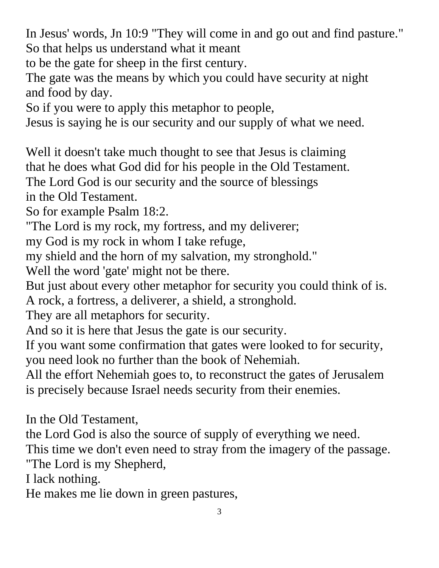In Jesus' words, Jn 10:9 "They will come in and go out and find pasture." So that helps us understand what it meant

to be the gate for sheep in the first century.

The gate was the means by which you could have security at night and food by day.

So if you were to apply this metaphor to people,

Jesus is saying he is our security and our supply of what we need.

Well it doesn't take much thought to see that Jesus is claiming

that he does what God did for his people in the Old Testament.

The Lord God is our security and the source of blessings

in the Old Testament.

So for example Psalm 18:2.

"The Lord is my rock, my fortress, and my deliverer;

my God is my rock in whom I take refuge,

my shield and the horn of my salvation, my stronghold."

Well the word 'gate' might not be there.

But just about every other metaphor for security you could think of is.

A rock, a fortress, a deliverer, a shield, a stronghold.

They are all metaphors for security.

And so it is here that Jesus the gate is our security.

If you want some confirmation that gates were looked to for security, you need look no further than the book of Nehemiah.

All the effort Nehemiah goes to, to reconstruct the gates of Jerusalem is precisely because Israel needs security from their enemies.

In the Old Testament,

the Lord God is also the source of supply of everything we need.

This time we don't even need to stray from the imagery of the passage. "The Lord is my Shepherd,

I lack nothing.

He makes me lie down in green pastures,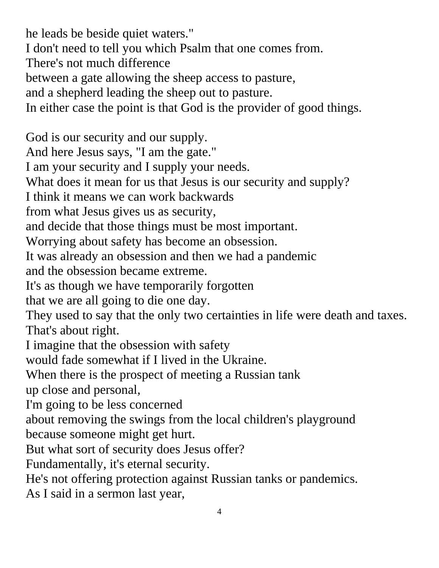4 he leads be beside quiet waters." I don't need to tell you which Psalm that one comes from. There's not much difference between a gate allowing the sheep access to pasture, and a shepherd leading the sheep out to pasture. In either case the point is that God is the provider of good things. God is our security and our supply. And here Jesus says, "I am the gate." I am your security and I supply your needs. What does it mean for us that Jesus is our security and supply? I think it means we can work backwards from what Jesus gives us as security, and decide that those things must be most important. Worrying about safety has become an obsession. It was already an obsession and then we had a pandemic and the obsession became extreme. It's as though we have temporarily forgotten that we are all going to die one day. They used to say that the only two certainties in life were death and taxes. That's about right. I imagine that the obsession with safety would fade somewhat if I lived in the Ukraine. When there is the prospect of meeting a Russian tank up close and personal, I'm going to be less concerned about removing the swings from the local children's playground because someone might get hurt. But what sort of security does Jesus offer? Fundamentally, it's eternal security. He's not offering protection against Russian tanks or pandemics. As I said in a sermon last year,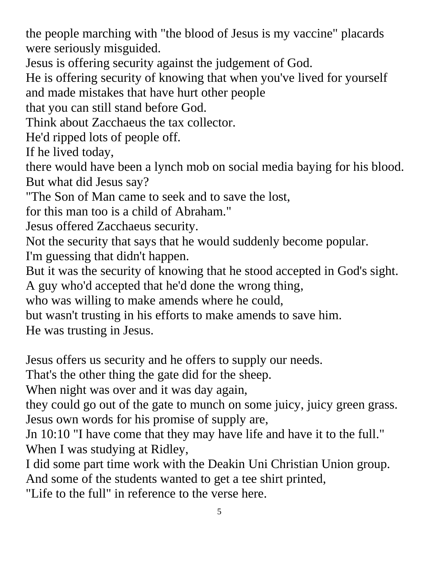the people marching with "the blood of Jesus is my vaccine" placards were seriously misguided.

Jesus is offering security against the judgement of God.

He is offering security of knowing that when you've lived for yourself and made mistakes that have hurt other people

that you can still stand before God.

Think about Zacchaeus the tax collector.

He'd ripped lots of people off.

If he lived today,

there would have been a lynch mob on social media baying for his blood. But what did Jesus say?

"The Son of Man came to seek and to save the lost,

for this man too is a child of Abraham."

Jesus offered Zacchaeus security.

Not the security that says that he would suddenly become popular.

I'm guessing that didn't happen.

But it was the security of knowing that he stood accepted in God's sight.

A guy who'd accepted that he'd done the wrong thing,

who was willing to make amends where he could,

but wasn't trusting in his efforts to make amends to save him.

He was trusting in Jesus.

Jesus offers us security and he offers to supply our needs.

That's the other thing the gate did for the sheep.

When night was over and it was day again,

they could go out of the gate to munch on some juicy, juicy green grass. Jesus own words for his promise of supply are,

Jn 10:10 "I have come that they may have life and have it to the full." When I was studying at Ridley,

I did some part time work with the Deakin Uni Christian Union group. And some of the students wanted to get a tee shirt printed,

"Life to the full" in reference to the verse here.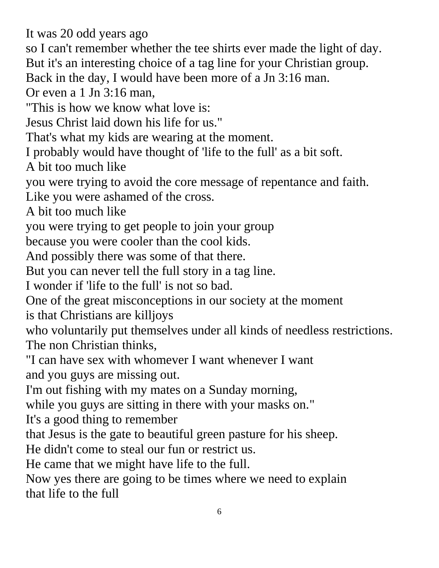It was 20 odd years ago

so I can't remember whether the tee shirts ever made the light of day.

But it's an interesting choice of a tag line for your Christian group.

Back in the day, I would have been more of a Jn 3:16 man.

Or even a 1 Jn 3:16 man,

"This is how we know what love is:

Jesus Christ laid down his life for us."

That's what my kids are wearing at the moment.

I probably would have thought of 'life to the full' as a bit soft.

A bit too much like

you were trying to avoid the core message of repentance and faith.

Like you were ashamed of the cross.

A bit too much like

you were trying to get people to join your group

because you were cooler than the cool kids.

And possibly there was some of that there.

But you can never tell the full story in a tag line.

I wonder if 'life to the full' is not so bad.

One of the great misconceptions in our society at the moment

is that Christians are killjoys

who voluntarily put themselves under all kinds of needless restrictions. The non Christian thinks,

"I can have sex with whomever I want whenever I want and you guys are missing out.

I'm out fishing with my mates on a Sunday morning,

while you guys are sitting in there with your masks on."

It's a good thing to remember

that Jesus is the gate to beautiful green pasture for his sheep.

He didn't come to steal our fun or restrict us.

He came that we might have life to the full.

Now yes there are going to be times where we need to explain that life to the full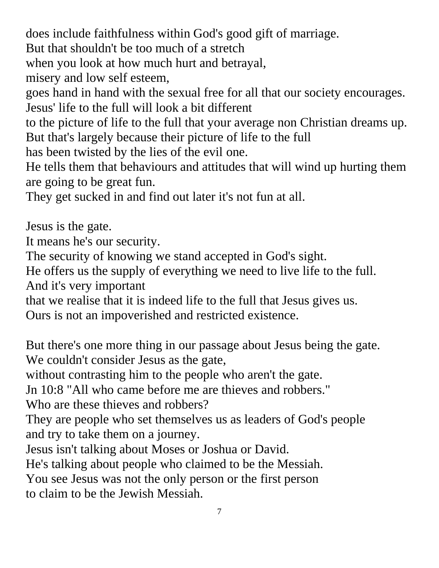does include faithfulness within God's good gift of marriage.

But that shouldn't be too much of a stretch

when you look at how much hurt and betrayal,

misery and low self esteem,

goes hand in hand with the sexual free for all that our society encourages. Jesus' life to the full will look a bit different

to the picture of life to the full that your average non Christian dreams up. But that's largely because their picture of life to the full

has been twisted by the lies of the evil one.

He tells them that behaviours and attitudes that will wind up hurting them are going to be great fun.

They get sucked in and find out later it's not fun at all.

Jesus is the gate.

It means he's our security.

The security of knowing we stand accepted in God's sight.

He offers us the supply of everything we need to live life to the full. And it's very important

that we realise that it is indeed life to the full that Jesus gives us.

Ours is not an impoverished and restricted existence.

But there's one more thing in our passage about Jesus being the gate. We couldn't consider Jesus as the gate,

without contrasting him to the people who aren't the gate.

Jn 10:8 "All who came before me are thieves and robbers."

Who are these thieves and robbers?

They are people who set themselves us as leaders of God's people and try to take them on a journey.

Jesus isn't talking about Moses or Joshua or David.

He's talking about people who claimed to be the Messiah.

You see Jesus was not the only person or the first person to claim to be the Jewish Messiah.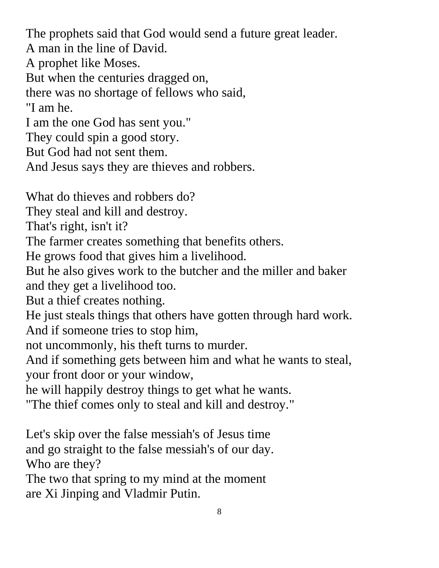The prophets said that God would send a future great leader. A man in the line of David. A prophet like Moses. But when the centuries dragged on, there was no shortage of fellows who said, "I am he. I am the one God has sent you." They could spin a good story. But God had not sent them. And Jesus says they are thieves and robbers. What do thieves and robbers do? They steal and kill and destroy. That's right, isn't it? The farmer creates something that benefits others. He grows food that gives him a livelihood. But he also gives work to the butcher and the miller and baker and they get a livelihood too. But a thief creates nothing. He just steals things that others have gotten through hard work. And if someone tries to stop him, not uncommonly, his theft turns to murder. And if something gets between him and what he wants to steal, your front door or your window, he will happily destroy things to get what he wants. "The thief comes only to steal and kill and destroy."

Let's skip over the false messiah's of Jesus time and go straight to the false messiah's of our day. Who are they?

The two that spring to my mind at the moment are Xi Jinping and Vladmir Putin.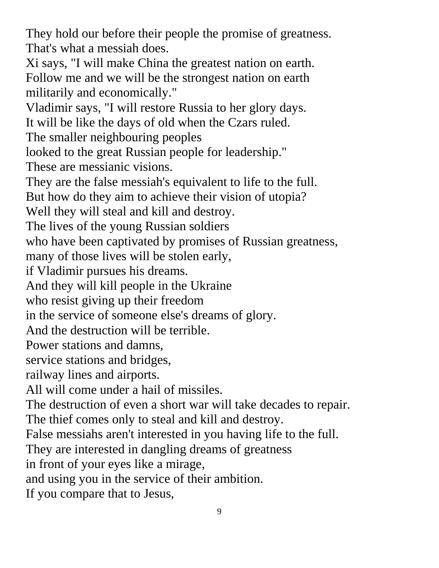They hold our before their people the promise of greatness. That's what a messiah does.

Xi says, "I will make China the greatest nation on earth. Follow me and we will be the strongest nation on earth militarily and economically."

Vladimir says, "I will restore Russia to her glory days.

It will be like the days of old when the Czars ruled.

The smaller neighbouring peoples

looked to the great Russian people for leadership."

These are messianic visions.

They are the false messiah's equivalent to life to the full.

But how do they aim to achieve their vision of utopia?

Well they will steal and kill and destroy.

The lives of the young Russian soldiers

who have been captivated by promises of Russian greatness,

many of those lives will be stolen early,

if Vladimir pursues his dreams.

And they will kill people in the Ukraine

who resist giving up their freedom

in the service of someone else's dreams of glory.

And the destruction will be terrible.

Power stations and damns,

service stations and bridges,

railway lines and airports.

All will come under a hail of missiles.

The destruction of even a short war will take decades to repair.

The thief comes only to steal and kill and destroy.

False messiahs aren't interested in you having life to the full.

They are interested in dangling dreams of greatness

in front of your eyes like a mirage,

and using you in the service of their ambition.

If you compare that to Jesus,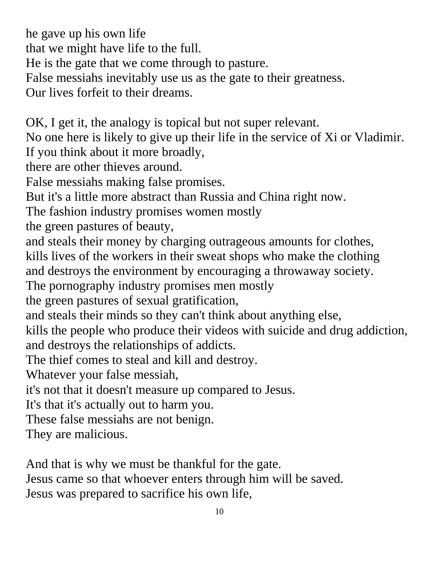he gave up his own life that we might have life to the full. He is the gate that we come through to pasture. False messiahs inevitably use us as the gate to their greatness. Our lives forfeit to their dreams.

OK, I get it, the analogy is topical but not super relevant.

No one here is likely to give up their life in the service of Xi or Vladimir. If you think about it more broadly,

there are other thieves around.

False messiahs making false promises.

But it's a little more abstract than Russia and China right now.

The fashion industry promises women mostly

the green pastures of beauty,

and steals their money by charging outrageous amounts for clothes,

kills lives of the workers in their sweat shops who make the clothing

and destroys the environment by encouraging a throwaway society.

The pornography industry promises men mostly

the green pastures of sexual gratification,

and steals their minds so they can't think about anything else,

kills the people who produce their videos with suicide and drug addiction, and destroys the relationships of addicts.

The thief comes to steal and kill and destroy.

Whatever your false messiah,

it's not that it doesn't measure up compared to Jesus.

It's that it's actually out to harm you.

These false messiahs are not benign.

They are malicious.

And that is why we must be thankful for the gate.

Jesus came so that whoever enters through him will be saved. Jesus was prepared to sacrifice his own life,